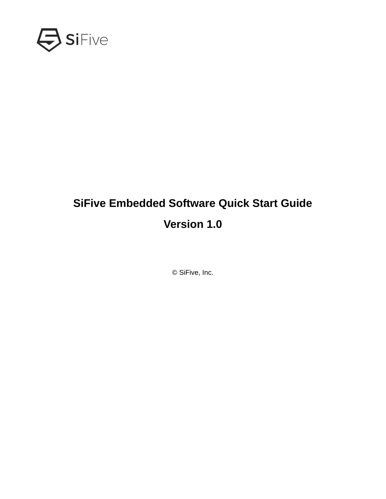

# **SiFive Embedded Software Quick Start Guide Version 1.0**

© SiFive, Inc.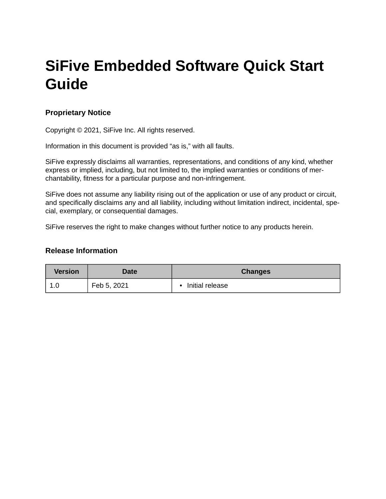# **SiFive Embedded Software Quick Start Guide**

## **Proprietary Notice**

Copyright © 2021, SiFive Inc. All rights reserved.

Information in this document is provided "as is," with all faults.

SiFive expressly disclaims all warranties, representations, and conditions of any kind, whether express or implied, including, but not limited to, the implied warranties or conditions of merchantability, fitness for a particular purpose and non-infringement.

SiFive does not assume any liability rising out of the application or use of any product or circuit, and specifically disclaims any and all liability, including without limitation indirect, incidental, special, exemplary, or consequential damages.

SiFive reserves the right to make changes without further notice to any products herein.

## **Release Information**

| <b>Version</b> | Date        | <b>Changes</b>               |
|----------------|-------------|------------------------------|
| ⊥.∪            | Feb 5, 2021 | Initial release<br>$\bullet$ |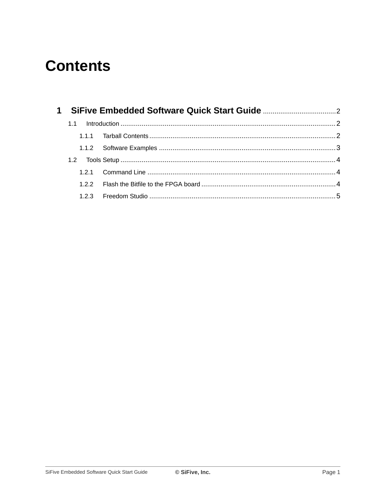# **Contents**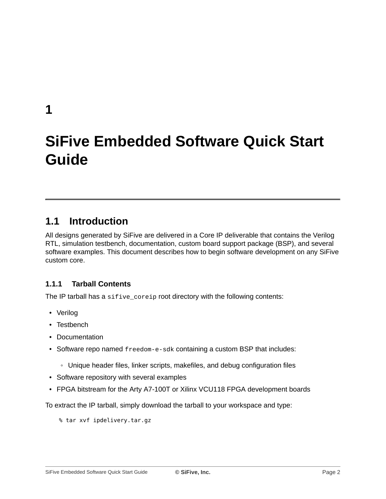<span id="page-3-0"></span>**[1](#page-3-0)**

# **[SiFive Embedded Software Quick Start](#page-3-0) Guide**

# <span id="page-3-1"></span>**[1.1 Introduction](#page-3-1)**

All designs generated by SiFive are delivered in a Core IP deliverable that contains the Verilog RTL, simulation testbench, documentation, custom board support package (BSP), and several software examples. This document describes how to begin software development on any SiFive custom core.

# <span id="page-3-2"></span>**[1.1.1 Tarball Contents](#page-3-2)**

The IP tarball has a sifive\_coreip root directory with the following contents:

- Verilog
- Testbench
- Documentation
- Software repo named freedom-e-sdk containing a custom BSP that includes:
	- Unique header files, linker scripts, makefiles, and debug configuration files
- Software repository with several examples
- FPGA bitstream for the Arty A7-100T or Xilinx VCU118 FPGA development boards

To extract the IP tarball, simply download the tarball to your workspace and type:

% tar xvf ipdelivery.tar.gz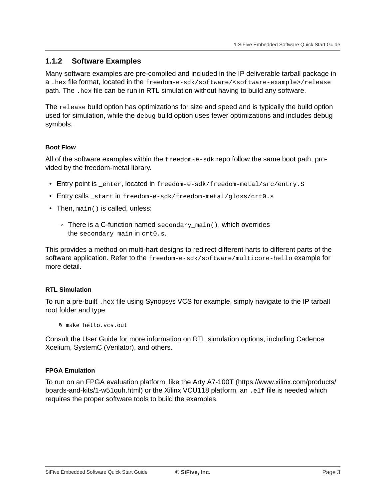## <span id="page-4-0"></span>**[1.1.2 Software Examples](#page-4-0)**

Many software examples are pre-compiled and included in the IP deliverable tarball package in a .hex file format, located in the freedom-e-sdk/software/<software-example>/release path. The .hex file can be run in RTL simulation without having to build any software.

The release build option has optimizations for size and speed and is typically the build option used for simulation, while the debug build option uses fewer optimizations and includes debug symbols.

### <span id="page-4-1"></span>**[Boot Flow](#page-4-1)**

All of the software examples within the freedom-e-sdk repo follow the same boot path, provided by the freedom-metal library.

- Entry point is \_enter, located in freedom-e-sdk/freedom-metal/src/entry.S
- Entry calls \_start in freedom-e-sdk/freedom-metal/gloss/crt0.s
- Then, main() is called, unless:
	- There is a C-function named secondary\_main(), which overrides the secondary\_main in crt0.s.

This provides a method on multi-hart designs to redirect different harts to different parts of the software application. Refer to the freedom-e-sdk/software/multicore-hello example for more detail.

### <span id="page-4-2"></span>**[RTL Simulation](#page-4-2)**

To run a pre-built .hex file using Synopsys VCS for example, simply navigate to the IP tarball root folder and type:

% make hello.vcs.out

Consult the User Guide for more information on RTL simulation options, including Cadence Xcelium, SystemC (Verilator), and others.

### <span id="page-4-3"></span>**[FPGA Emulation](#page-4-3)**

To run on an FPGA evaluation platform, like the Arty A7-100T ([https://www.xilinx.com/products/](https://www.xilinx.com/products/boards-and-kits/1-w51quh.html) [boards-and-kits/1-w51quh.html](https://www.xilinx.com/products/boards-and-kits/1-w51quh.html)) or the [Xilinx VCU118](https://www.xilinx.com/products/boards-and-kits/vcu118.html) platform, an .elf file is needed which requires the proper software tools to build the examples.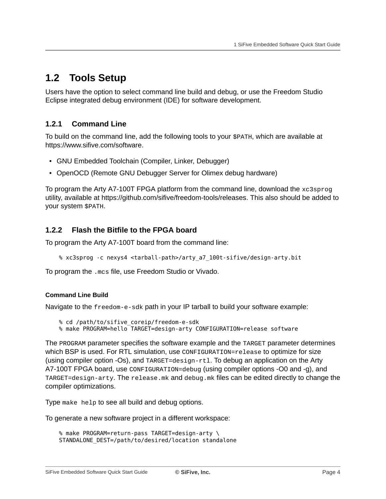# <span id="page-5-0"></span>**[1.2 Tools Setup](#page-5-0)**

Users have the option to select command line build and debug, or use the Freedom Studio Eclipse integrated debug environment (IDE) for software development.

## <span id="page-5-1"></span>**[1.2.1 Command Line](#page-5-1)**

To build on the command line, add the following tools to your \$PATH, which are available at [https://www.sifive.com/software.](https://www.sifive.com/software)

- GNU Embedded Toolchain (Compiler, Linker, Debugger)
- OpenOCD (Remote GNU Debugger Server for Olimex debug hardware)

To program the Arty A7-100T FPGA platform from the command line, download the xc3sprog utility, available at [https://github.com/sifive/freedom-tools/releases.](https://github.com/sifive/freedom-tools/releases) This also should be added to your system \$PATH.

## <span id="page-5-2"></span>**[1.2.2 Flash the Bitfile to the FPGA board](#page-5-2)**

To program the Arty A7-100T board from the command line:

```
% xc3sprog -c nexys4 <tarball-path>/arty_a7_100t-sifive/design-arty.bit
```
To program the .mcs file, use Freedom Studio or Vivado.

### <span id="page-5-3"></span>**[Command Line Build](#page-5-3)**

Navigate to the freedom-e-sdk path in your IP tarball to build your software example:

```
% cd /path/to/sifive_coreip/freedom-e-sdk
```
% make PROGRAM=hello TARGET=design-arty CONFIGURATION=release software

The PROGRAM parameter specifies the software example and the TARGET parameter determines which BSP is used. For RTL simulation, use CONFIGURATION=release to optimize for size (using compiler option -Os), and TARGET=design-rtl. To debug an application on the Arty A7-100T FPGA board, use CONFIGURATION=debug (using compiler options -O0 and -g), and TARGET=design-arty. The release.mk and debug.mk files can be edited directly to change the compiler optimizations.

Type make help to see all build and debug options.

To generate a new software project in a different workspace:

```
% make PROGRAM=return-pass TARGET=design-arty \
STANDALONE_DEST=/path/to/desired/location standalone
```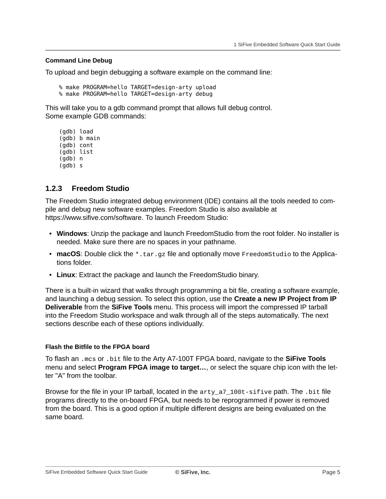#### <span id="page-6-1"></span>**[Command Line Debug](#page-6-1)**

To upload and begin debugging a software example on the command line:

% make PROGRAM=hello TARGET=design-arty upload % make PROGRAM=hello TARGET=design-arty debug

This will take you to a gdb command prompt that allows full debug control. Some example GDB commands:

(gdb) load (gdb) b main (gdb) cont (gdb) list (gdb) n (gdb) s

### <span id="page-6-0"></span>**[1.2.3 Freedom Studio](#page-6-0)**

The Freedom Studio integrated debug environment (IDE) contains all the tools needed to compile and debug new software examples. Freedom Studio is also available at [https://www.sifive.com/software.](https://www.sifive.com/software) To launch Freedom Studio:

- **Windows**: Unzip the package and launch FreedomStudio from the root folder. No installer is needed. Make sure there are no spaces in your pathname.
- **macOS**: Double click the \*.tar.gz file and optionally move FreedomStudio to the Applications folder.
- **Linux**: Extract the package and launch the FreedomStudio binary.

There is a built-in wizard that walks through programming a bit file, creating a software example, and launching a debug session. To select this option, use the **Create a new IP Project from IP Deliverable** from the **SiFive Tools** menu. This process will import the compressed IP tarball into the Freedom Studio workspace and walk through all of the steps automatically. The next sections describe each of these options individually.

### <span id="page-6-2"></span>**[Flash the Bitfile to the FPGA board](#page-6-2)**

To flash an .mcs or .bit file to the Arty A7-100T FPGA board, navigate to the **SiFive Tools** menu and select **Program FPGA image to target…**, or select the square chip icon with the letter "A" from the toolbar.

Browse for the file in your IP tarball, located in the arty\_a7\_100t-sifive path. The .bit file programs directly to the on-board FPGA, but needs to be reprogrammed if power is removed from the board. This is a good option if multiple different designs are being evaluated on the same board.